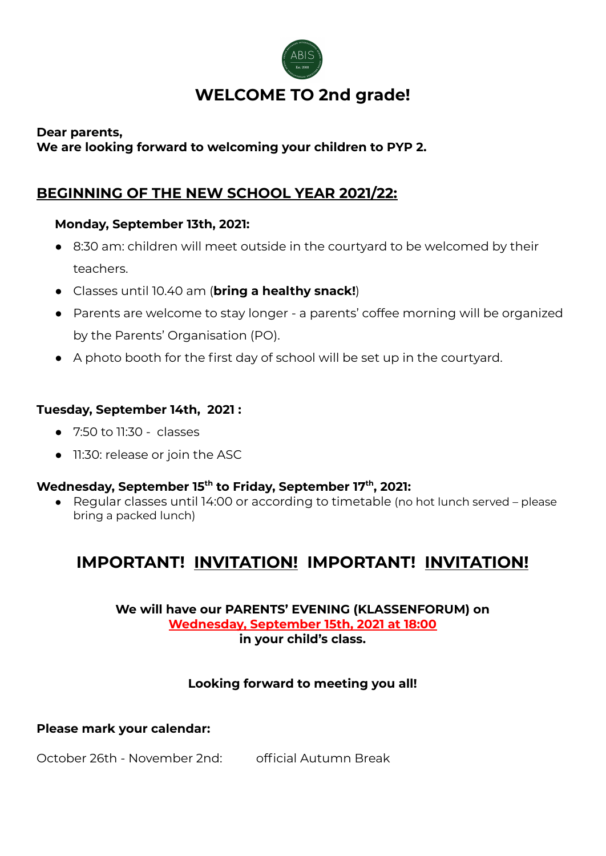

# **WELCOME TO 2nd grade!**

## **Dear parents,**

# **We are looking forward to welcoming your children to PYP 2.**

# **BEGINNING OF THE NEW SCHOOL YEAR 2021/22:**

# **Monday, September 13th, 2021:**

- 8:30 am: children will meet outside in the courtyard to be welcomed by their teachers.
- Classes until 10.40 am (**bring a healthy snack!**)
- Parents are welcome to stay longer a parents' coffee morning will be organized by the Parents' Organisation (PO).
- A photo booth for the first day of school will be set up in the courtyard.

# **Tuesday, September 14th, 2021 :**

- 7:50 to 11:30 classes
- 11:30: release or join the ASC

# **Wednesday, September 15 th to Friday, September 17 th , 2021:**

● Regular classes until 14:00 or according to timetable (no hot lunch served – please bring a packed lunch)

# **IMPORTANT! INVITATION! IMPORTANT! INVITATION!**

**We will have our PARENTS' EVENING (KLASSENFORUM) on Wednesday, September 15th, 2021 at 18:00 in your child's class.**

# **Looking forward to meeting you all!**

# **Please mark your calendar:**

October 26th - November 2nd: official Autumn Break